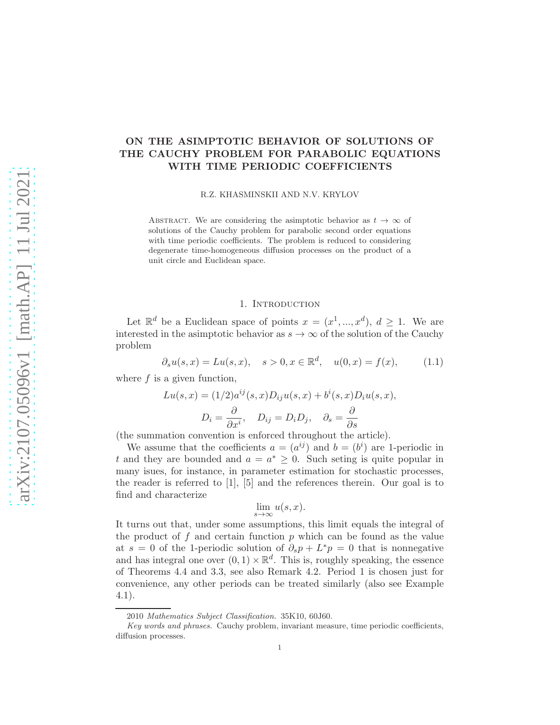# ON THE ASIMPTOTIC BEHAVIOR OF SOLUTIONS OF THE CAUCHY PROBLEM FOR PARABOLIC EQUATIONS WITH TIME PERIODIC COEFFICIENTS

R.Z. KHASMINSKII AND N.V. KRYLOV

ABSTRACT. We are considering the asimptotic behavior as  $t \to \infty$  of solutions of the Cauchy problem for parabolic second order equations with time periodic coefficients. The problem is reduced to considering degenerate time-homogeneous diffusion processes on the product of a unit circle and Euclidean space.

## 1. INTRODUCTION

Let  $\mathbb{R}^d$  be a Euclidean space of points  $x = (x^1, ..., x^d), d \ge 1$ . We are interested in the asimptotic behavior as  $s \to \infty$  of the solution of the Cauchy problem

$$
\partial_s u(s, x) = Lu(s, x), \quad s > 0, x \in \mathbb{R}^d, \quad u(0, x) = f(x),
$$
\n(1.1)

where  $f$  is a given function,

$$
Lu(s, x) = (1/2)a^{ij}(s, x)D_{ij}u(s, x) + b^i(s, x)D_iu(s, x),
$$

$$
D_i = \frac{\partial}{\partial x^i}, \quad D_{ij} = D_iD_j, \quad \partial_s = \frac{\partial}{\partial s}
$$

(the summation convention is enforced throughout the article).

We assume that the coefficients  $a = (a^{ij})$  and  $b = (b^i)$  are 1-periodic in t and they are bounded and  $a = a^* \geq 0$ . Such seting is quite popular in many isues, for instance, in parameter estimation for stochastic processes, the reader is referred to [1], [5] and the references therein. Our goal is to find and characterize

$$
\lim_{s \to \infty} u(s, x).
$$

It turns out that, under some assumptions, this limit equals the integral of the product of  $f$  and certain function  $p$  which can be found as the value at  $s = 0$  of the 1-periodic solution of  $\partial_s p + L^* p = 0$  that is nonnegative and has integral one over  $(0,1) \times \mathbb{R}^d$ . This is, roughly speaking, the essence of Theorems 4.4 and 3.3, see also Remark 4.2. Period 1 is chosen just for convenience, any other periods can be treated similarly (also see Example 4.1).

<sup>2010</sup> Mathematics Subject Classification. 35K10, 60J60.

Key words and phrases. Cauchy problem, invariant measure, time periodic coefficients, diffusion processes.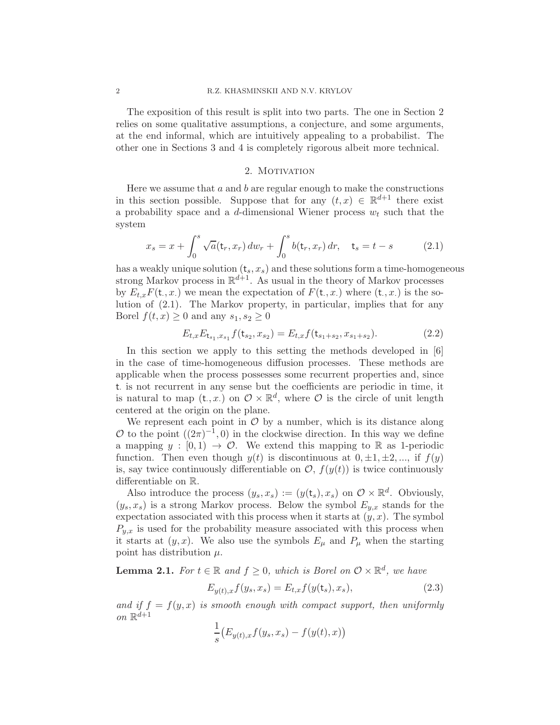#### 2 R.Z. KHASMINSKII AND N.V. KRYLOV

The exposition of this result is split into two parts. The one in Section 2 relies on some qualitative assumptions, a conjecture, and some arguments, at the end informal, which are intuitively appealing to a probabilist. The other one in Sections 3 and 4 is completely rigorous albeit more technical.

### 2. MOTIVATION

Here we assume that  $a$  and  $b$  are regular enough to make the constructions in this section possible. Suppose that for any  $(t, x) \in \mathbb{R}^{d+1}$  there exist a probability space and a d-dimensional Wiener process  $w_t$  such that the system

$$
x_s = x + \int_0^s \sqrt{a} (\mathbf{t}_r, x_r) \, dw_r + \int_0^s b(\mathbf{t}_r, x_r) \, dr, \quad \mathbf{t}_s = t - s \tag{2.1}
$$

has a weakly unique solution  $(t_s, x_s)$  and these solutions form a time-homogeneous strong Markov process in  $\mathbb{R}^{d+1}$ . As usual in the theory of Markov processes by  $E_{t,x}F(\mathsf{t},x)$  we mean the expectation of  $F(\mathsf{t},x)$  where  $(\mathsf{t},x)$  is the solution of (2.1). The Markov property, in particular, implies that for any Borel  $f(t, x) \geq 0$  and any  $s_1, s_2 \geq 0$ 

$$
E_{t,x}E_{t_{s_1},x_{s_1}}f(t_{s_2},x_{s_2}) = E_{t,x}f(t_{s_1+s_2},x_{s_1+s_2}).
$$
\n(2.2)

In this section we apply to this setting the methods developed in [6] in the case of time-homogeneous diffusion processes. These methods are applicable when the process possesses some recurrent properties and, since t. is not recurrent in any sense but the coefficients are periodic in time, it is natural to map  $(t, x)$  on  $\mathcal{O} \times \mathbb{R}^d$ , where  $\mathcal{O}$  is the circle of unit length centered at the origin on the plane.

We represent each point in  $\mathcal O$  by a number, which is its distance along  $\mathcal{O}$  to the point  $((2\pi)^{-1},0)$  in the clockwise direction. In this way we define a mapping  $y : [0, 1) \rightarrow \mathcal{O}$ . We extend this mapping to R as 1-periodic function. Then even though  $y(t)$  is discontinuous at  $0, \pm 1, \pm 2, \dots$ , if  $f(y)$ is, say twice continuously differentiable on  $\mathcal{O}, f(y(t))$  is twice continuously differentiable on R.

Also introduce the process  $(y_s, x_s) := (y(\mathsf{t}_s), x_s)$  on  $\mathcal{O} \times \mathbb{R}^d$ . Obviously,  $(y_s, x_s)$  is a strong Markov process. Below the symbol  $E_{y,x}$  stands for the expectation associated with this process when it starts at  $(y, x)$ . The symbol  $P_{y,x}$  is used for the probability measure associated with this process when it starts at  $(y, x)$ . We also use the symbols  $E_{\mu}$  and  $P_{\mu}$  when the starting point has distribution  $\mu$ .

**Lemma 2.1.** For  $t \in \mathbb{R}$  and  $f \ge 0$ , which is Borel on  $\mathcal{O} \times \mathbb{R}^d$ , we have

$$
E_{y(t),x}f(y_s, x_s) = E_{t,x}f(y(t_s), x_s),
$$
\n(2.3)

and if  $f = f(y, x)$  is smooth enough with compact support, then uniformly on  $\mathbb{R}^{d+1}$ 

$$
\frac{1}{s}\big(E_{y(t),x}f(y_s,x_s)-f(y(t),x)\big)
$$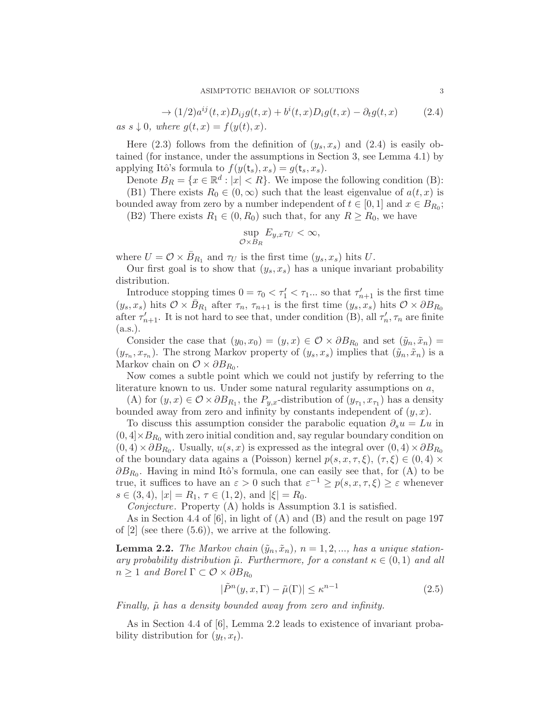$$
\rightarrow (1/2)a^{ij}(t,x)D_{ij}g(t,x) + b^{i}(t,x)D_{i}g(t,x) - \partial_{t}g(t,x)
$$
\n
$$
as \ s \downarrow 0, \ where \ g(t,x) = f(y(t),x).
$$
\n(2.4)

Here (2.3) follows from the definition of  $(y_s, x_s)$  and (2.4) is easily obtained (for instance, under the assumptions in Section 3, see Lemma 4.1) by applying Itô's formula to  $f(y(t_s), x_s) = g(t_s, x_s)$ .

Denote  $B_R = \{x \in \mathbb{R}^d : |x| < R\}$ . We impose the following condition (B):

(B1) There exists  $R_0 \in (0,\infty)$  such that the least eigenvalue of  $a(t,x)$  is bounded away from zero by a number independent of  $t \in [0, 1]$  and  $x \in B_{R_0}$ ;

(B2) There exists  $R_1 \in (0, R_0)$  such that, for any  $R \ge R_0$ , we have

$$
\sup_{\mathcal{O}\times B_R} E_{y,x} \tau_U < \infty,
$$

where  $U = \mathcal{O} \times \bar{B}_{R_1}$  and  $\tau_U$  is the first time  $(y_s, x_s)$  hits U.

Our first goal is to show that  $(y_s, x_s)$  has a unique invariant probability distribution.

Introduce stopping times  $0 = \tau_0 < \tau'_1 < \tau_1 ...$  so that  $\tau'_{n+1}$  is the first time  $(y_s, x_s)$  hits  $\mathcal{O} \times \bar{B}_{R_1}$  after  $\tau_n$ ,  $\tau_{n+1}$  is the first time  $(y_s, x_s)$  hits  $\mathcal{O} \times \partial B_{R_0}$ after  $\tau'_{n+1}$ . It is not hard to see that, under condition (B), all  $\tau'_{n}$ ,  $\tau_{n}$  are finite (a.s.).

Consider the case that  $(y_0, x_0) = (y, x) \in \mathcal{O} \times \partial B_{R_0}$  and set  $(\tilde{y}_n, \tilde{x}_n) =$  $(y_{\tau_n}, x_{\tau_n})$ . The strong Markov property of  $(y_s, x_s)$  implies that  $(\tilde{y}_n, \tilde{x}_n)$  is a Markov chain on  $\mathcal{O} \times \partial B_{R_0}$ .

Now comes a subtle point which we could not justify by referring to the literature known to us. Under some natural regularity assumptions on a,

(A) for  $(y, x) \in \mathcal{O} \times \partial B_{R_1}$ , the  $P_{y,x}$ -distribution of  $(y_{\tau_1}, x_{\tau_1})$  has a density bounded away from zero and infinity by constants independent of  $(y, x)$ .

To discuss this assumption consider the parabolic equation  $\partial_s u = Lu$  in  $(0, 4] \times B_{R_0}$  with zero initial condition and, say regular boundary condition on  $(0, 4) \times \partial B_{R_0}$ . Usually,  $u(s, x)$  is expressed as the integral over  $(0, 4) \times \partial B_{R_0}$ of the boundary data agains a (Poisson) kernel  $p(s, x, \tau, \xi)$ ,  $(\tau, \xi) \in (0, 4) \times$  $\partial B_{R_0}$ . Having in mind Itô's formula, one can easily see that, for (A) to be true, it suffices to have an  $\varepsilon > 0$  such that  $\varepsilon^{-1} \ge p(s, x, \tau, \xi) \ge \varepsilon$  whenever  $s \in (3, 4), |x| = R_1, \tau \in (1, 2), \text{ and } |\xi| = R_0.$ 

Conjecture. Property (A) holds is Assumption 3.1 is satisfied.

As in Section 4.4 of [6], in light of (A) and (B) and the result on page 197 of  $[2]$  (see there  $(5.6)$ ), we arrive at the following.

**Lemma 2.2.** The Markov chain  $(\tilde{y}_n, \tilde{x}_n)$ ,  $n = 1, 2, ...,$  has a unique stationary probability distribution  $\tilde{\mu}$ . Furthermore, for a constant  $\kappa \in (0,1)$  and all  $n \geq 1$  and Borel  $\Gamma \subset \mathcal{O} \times \partial B_{R_0}$ 

$$
|\tilde{P}^n(y, x, \Gamma) - \tilde{\mu}(\Gamma)| \le \kappa^{n-1}
$$
\n(2.5)

Finally,  $\tilde{\mu}$  has a density bounded away from zero and infinity.

As in Section 4.4 of [6], Lemma 2.2 leads to existence of invariant probability distribution for  $(y_t, x_t)$ .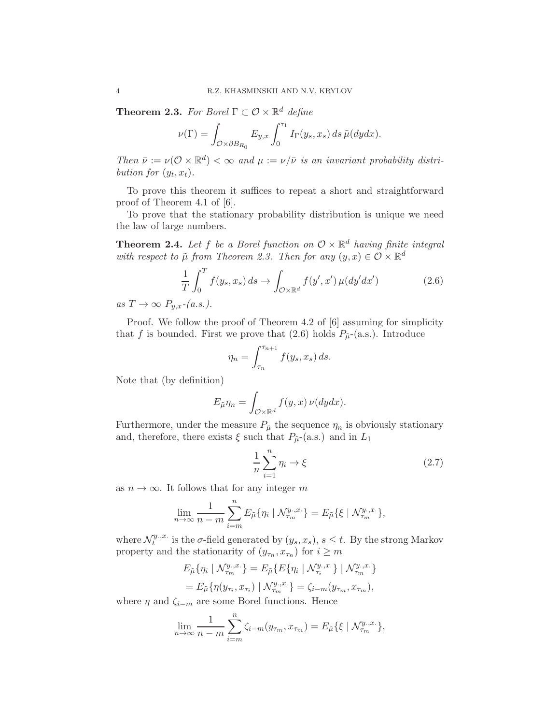**Theorem 2.3.** For Borel  $\Gamma \subset \mathcal{O} \times \mathbb{R}^d$  define

$$
\nu(\Gamma) = \int_{\mathcal{O}\times \partial B_{R_0}} E_{y,x} \int_0^{\tau_1} I_{\Gamma}(y_s, x_s) ds \, \tilde{\mu}(dydx).
$$

Then  $\bar{\nu} := \nu(\mathcal{O} \times \mathbb{R}^d) < \infty$  and  $\mu := \nu/\bar{\nu}$  is an invariant probability distribution for  $(y_t, x_t)$ .

To prove this theorem it suffices to repeat a short and straightforward proof of Theorem 4.1 of [6].

To prove that the stationary probability distribution is unique we need the law of large numbers.

**Theorem 2.4.** Let f be a Borel function on  $\mathcal{O} \times \mathbb{R}^d$  having finite integral with respect to  $\tilde{\mu}$  from Theorem 2.3. Then for any  $(y, x) \in \mathcal{O} \times \mathbb{R}^d$ 

$$
\frac{1}{T} \int_0^T f(y_s, x_s) ds \to \int_{\mathcal{O} \times \mathbb{R}^d} f(y', x') \mu(dy'dx') \tag{2.6}
$$

as  $T \to \infty$   $P_{u.x^-}(a.s.).$ 

Proof. We follow the proof of Theorem 4.2 of [6] assuming for simplicity that f is bounded. First we prove that (2.6) holds  $P_{\tilde{\mu}}$ -(a.s.). Introduce

$$
\eta_n = \int_{\tau_n}^{\tau_{n+1}} f(y_s, x_s) \, ds.
$$

Note that (by definition)

$$
E_{\tilde{\mu}} \eta_n = \int_{\mathcal{O} \times \mathbb{R}^d} f(y, x) \nu(dy dx).
$$

Furthermore, under the measure  $P_{\tilde{\mu}}$  the sequence  $\eta_n$  is obviously stationary and, therefore, there exists  $\xi$  such that  $P_{\tilde{\mu}}$ -(a.s.) and in  $L_1$ 

$$
\frac{1}{n}\sum_{i=1}^{n}\eta_{i}\to\xi
$$
\n(2.7)

as  $n \to \infty$ . It follows that for any integer m

$$
\lim_{n \to \infty} \frac{1}{n-m} \sum_{i=m}^{n} E_{\tilde{\mu}} \{ \eta_i \mid \mathcal{N}_{\tau_m}^{y..x.} \} = E_{\tilde{\mu}} \{ \xi \mid \mathcal{N}_{\tau_m}^{y..x.} \},
$$

where  $\mathcal{N}_t^{y \dots, x}$ . <sup>y</sup>.x. is the  $\sigma$ -field generated by  $(y_s, x_s)$ ,  $s \leq t$ . By the strong Markov property and the stationarity of  $(y_{\tau_n}, x_{\tau_n})$  for  $i \geq m$ 

$$
E_{\tilde{\mu}}\{\eta_i \mid \mathcal{N}_{\tau_m}^{y.,x.}\} = E_{\tilde{\mu}}\{E\{\eta_i \mid \mathcal{N}_{\tau_i}^{y.,x.}\} \mid \mathcal{N}_{\tau_m}^{y.,x.}\}
$$

$$
= E_{\tilde{\mu}}\{\eta(y_{\tau_i}, x_{\tau_i}) \mid \mathcal{N}_{\tau_m}^{y.,x.}\} = \zeta_{i-m}(y_{\tau_m}, x_{\tau_m}),
$$

where  $\eta$  and  $\zeta_{i-m}$  are some Borel functions. Hence

$$
\lim_{n \to \infty} \frac{1}{n-m} \sum_{i=m}^{n} \zeta_{i-m}(y_{\tau_m}, x_{\tau_m}) = E_{\tilde{\mu}} \{ \xi \mid \mathcal{N}_{\tau_m}^{y_{\cdot},x_{\cdot}} \},
$$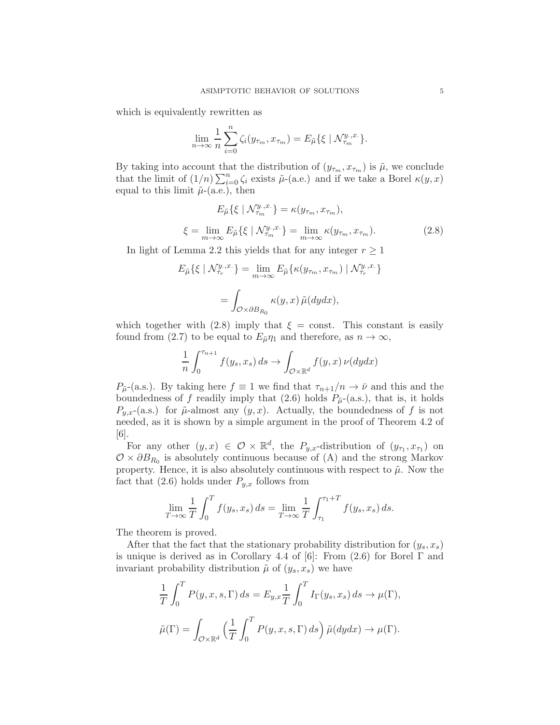which is equivalently rewritten as

$$
\lim_{n \to \infty} \frac{1}{n} \sum_{i=0}^{n} \zeta_i(y_{\tau_m}, x_{\tau_m}) = E_{\tilde{\mu}} \{ \xi \mid \mathcal{N}_{\tau_m}^{y_{\cdot},x_{\cdot}} \}.
$$

By taking into account that the distribution of  $(y_{\tau_m}, x_{\tau_m})$  is  $\tilde{\mu}$ , we conclude that the limit of  $(1/n)\sum_{i=0}^{n} \zeta_i$  exists  $\tilde{\mu}$ -(a.e.) and if we take a Borel  $\kappa(y, x)$ equal to this limit  $\tilde{\mu}$ -(a.e.), then

$$
E_{\tilde{\mu}}\{\xi \mid \mathcal{N}_{\tau_m}^{y_.,x.}\} = \kappa(y_{\tau_m}, x_{\tau_m}),
$$
  

$$
\xi = \lim_{m \to \infty} E_{\tilde{\mu}}\{\xi \mid \mathcal{N}_{\tau_m}^{y_.,x.}\} = \lim_{m \to \infty} \kappa(y_{\tau_m}, x_{\tau_m}).
$$
 (2.8)

In light of Lemma 2.2 this yields that for any integer  $r \geq 1$ 

$$
E_{\tilde{\mu}}\{\xi \mid \mathcal{N}_{\tau_r}^{y..x.}\} = \lim_{m \to \infty} E_{\tilde{\mu}}\{\kappa(y_{\tau_m}, x_{\tau_m}) \mid \mathcal{N}_{\tau_r}^{y..x.}\}
$$

$$
= \int_{\mathcal{O} \times \partial B_{R_0}} \kappa(y, x) \tilde{\mu}(dydx),
$$

which together with (2.8) imply that  $\xi = \text{const.}$  This constant is easily found from (2.7) to be equal to  $E_{\tilde{\mu}} \eta_1$  and therefore, as  $n \to \infty$ ,

$$
\frac{1}{n} \int_0^{\tau_{n+1}} f(y_s, x_s) \, ds \to \int_{\mathcal{O} \times \mathbb{R}^d} f(y, x) \, \nu(dy dx)
$$

 $P_{\tilde{\mu}}$ -(a.s.). By taking here  $f \equiv 1$  we find that  $\tau_{n+1}/n \to \bar{\nu}$  and this and the boundedness of f readily imply that (2.6) holds  $P_{\tilde{\mu}}$ -(a.s.), that is, it holds  $P_{y,x}$ -(a.s.) for  $\tilde{\mu}$ -almost any  $(y, x)$ . Actually, the boundedness of f is not needed, as it is shown by a simple argument in the proof of Theorem 4.2 of  $|6|$ .

For any other  $(y, x) \in \mathcal{O} \times \mathbb{R}^d$ , the  $P_{y,x}$ -distribution of  $(y_{\tau_1}, x_{\tau_1})$  on  $\mathcal{O} \times \partial B_{R_0}$  is absolutely continuous because of (A) and the strong Markov property. Hence, it is also absolutely continuous with respect to  $\tilde{\mu}$ . Now the fact that  $(2.6)$  holds under  $P_{y,x}$  follows from

$$
\lim_{T \to \infty} \frac{1}{T} \int_0^T f(y_s, x_s) ds = \lim_{T \to \infty} \frac{1}{T} \int_{\tau_1}^{\tau_1 + T} f(y_s, x_s) ds.
$$

The theorem is proved.

After that the fact that the stationary probability distribution for  $(y_s, x_s)$ is unique is derived as in Corollary 4.4 of [6]: From  $(2.6)$  for Borel  $\Gamma$  and invariant probability distribution  $\tilde{\mu}$  of  $(y_s, x_s)$  we have

$$
\frac{1}{T} \int_0^T P(y, x, s, \Gamma) ds = E_{y, x} \frac{1}{T} \int_0^T I_{\Gamma}(y_s, x_s) ds \to \mu(\Gamma),
$$
  

$$
\tilde{\mu}(\Gamma) = \int_{\mathcal{O} \times \mathbb{R}^d} \left( \frac{1}{T} \int_0^T P(y, x, s, \Gamma) ds \right) \tilde{\mu}(dy dx) \to \mu(\Gamma).
$$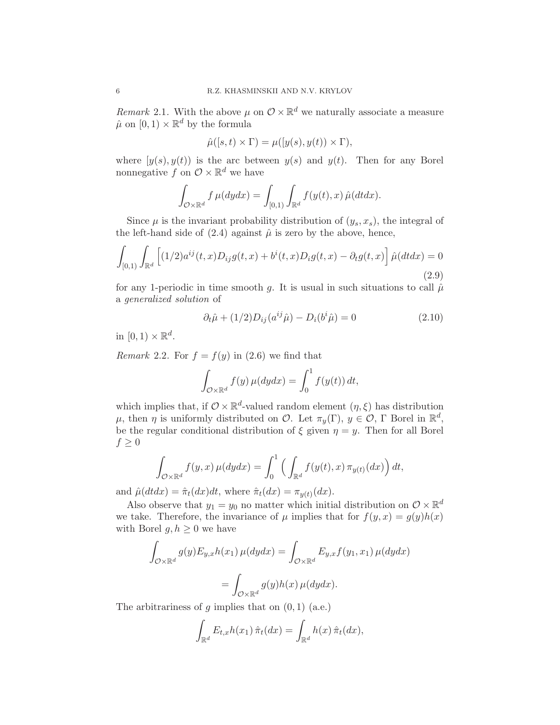Remark 2.1. With the above  $\mu$  on  $\mathcal{O} \times \mathbb{R}^d$  we naturally associate a measure  $\hat{\mu}$  on  $[0,1) \times \mathbb{R}^d$  by the formula

$$
\hat{\mu}([s,t)\times\Gamma) = \mu([y(s),y(t))\times\Gamma),
$$

where  $[y(s), y(t)]$  is the arc between  $y(s)$  and  $y(t)$ . Then for any Borel nonnegative f on  $\mathcal{O} \times \mathbb{R}^d$  we have

$$
\int_{\mathcal{O}\times\mathbb{R}^d} f\,\mu(dydx) = \int_{[0,1)} \int_{\mathbb{R}^d} f(y(t),x)\,\hat{\mu}(dtdx).
$$

Since  $\mu$  is the invariant probability distribution of  $(y_s, x_s)$ , the integral of the left-hand side of  $(2.4)$  against  $\hat{\mu}$  is zero by the above, hence,

$$
\int_{[0,1)} \int_{\mathbb{R}^d} \left[ (1/2) a^{ij}(t,x) D_{ij} g(t,x) + b^i(t,x) D_{i} g(t,x) - \partial_t g(t,x) \right] \hat{\mu}(dt dx) = 0
$$
\n(2.9)

for any 1-periodic in time smooth g. It is usual in such situations to call  $\hat{\mu}$ a generalized solution of

$$
\partial_t \hat{\mu} + (1/2)D_{ij}(a^{ij}\hat{\mu}) - D_i(b^i\hat{\mu}) = 0 \qquad (2.10)
$$

in  $[0,1) \times \mathbb{R}^d$ .

Remark 2.2. For  $f = f(y)$  in (2.6) we find that

$$
\int_{\mathcal{O}\times\mathbb{R}^d} f(y)\,\mu(dydx) = \int_0^1 f(y(t))\,dt,
$$

which implies that, if  $\mathcal{O} \times \mathbb{R}^d$ -valued random element  $(\eta, \xi)$  has distribution  $\mu$ , then  $\eta$  is uniformly distributed on  $\mathcal{O}$ . Let  $\pi_y(\Gamma)$ ,  $y \in \mathcal{O}$ ,  $\Gamma$  Borel in  $\mathbb{R}^d$ , be the regular conditional distribution of  $\xi$  given  $\eta = y$ . Then for all Borel  $f \geq 0$ 

$$
\int_{\mathcal{O}\times\mathbb{R}^d} f(y,x)\,\mu(dydx) = \int_0^1 \left( \int_{\mathbb{R}^d} f(y(t),x)\,\pi_{y(t)}(dx) \right) dt,
$$

and  $\hat{\mu}(dt dx) = \hat{\pi}_t(dx)dt$ , where  $\hat{\pi}_t(dx) = \pi_{y(t)}(dx)$ .

Also observe that  $y_1 = y_0$  no matter which initial distribution on  $\mathcal{O} \times \mathbb{R}^d$ we take. Therefore, the invariance of  $\mu$  implies that for  $f(y, x) = g(y)h(x)$ with Borel  $g, h \geq 0$  we have

$$
\int_{\mathcal{O}\times\mathbb{R}^d} g(y) E_{y,x} h(x_1) \,\mu(dydx) = \int_{\mathcal{O}\times\mathbb{R}^d} E_{y,x} f(y_1,x_1) \,\mu(dydx)
$$

$$
= \int_{\mathcal{O}\times\mathbb{R}^d} g(y) h(x) \,\mu(dydx).
$$

The arbitrariness of  $g$  implies that on  $(0, 1)$  (a.e.)

$$
\int_{\mathbb{R}^d} E_{t,x} h(x_1) \hat{\pi}_t(dx) = \int_{\mathbb{R}^d} h(x) \hat{\pi}_t(dx),
$$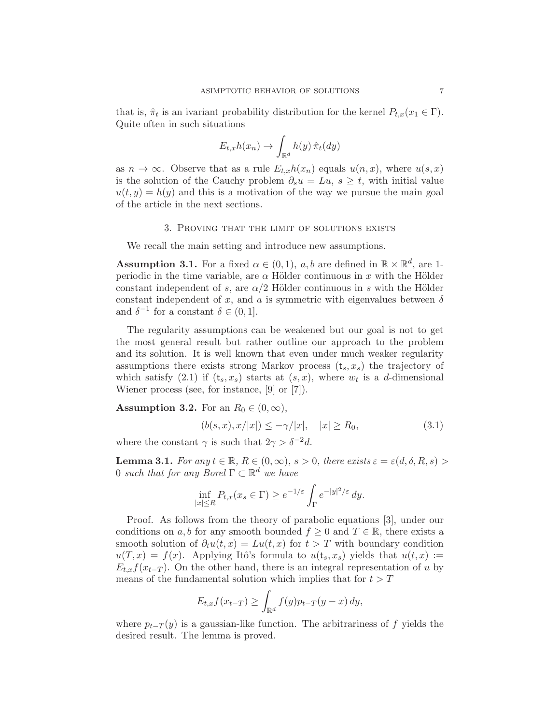that is,  $\hat{\pi}_t$  is an ivariant probability distribution for the kernel  $P_{t,x}(x_1 \in \Gamma)$ . Quite often in such situations

$$
E_{t,x}h(x_n) \to \int_{\mathbb{R}^d} h(y) \,\hat{\pi}_t(dy)
$$

as  $n \to \infty$ . Observe that as a rule  $E_{t,x}h(x_n)$  equals  $u(n,x)$ , where  $u(s,x)$ is the solution of the Cauchy problem  $\partial_s u = Lu, s \geq t$ , with initial value  $u(t, y) = h(y)$  and this is a motivation of the way we pursue the main goal of the article in the next sections.

## 3. Proving that the limit of solutions exists

We recall the main setting and introduce new assumptions.

**Assumption 3.1.** For a fixed  $\alpha \in (0,1)$ ,  $a, b$  are defined in  $\mathbb{R} \times \mathbb{R}^d$ , are 1periodic in the time variable, are  $\alpha$  Hölder continuous in x with the Hölder constant independent of s, are  $\alpha/2$  Hölder continuous in s with the Hölder constant independent of x, and a is symmetric with eigenvalues between  $\delta$ and  $\delta^{-1}$  for a constant  $\delta \in (0, 1]$ .

The regularity assumptions can be weakened but our goal is not to get the most general result but rather outline our approach to the problem and its solution. It is well known that even under much weaker regularity assumptions there exists strong Markov process  $(t_s, x_s)$  the trajectory of which satisfy (2.1) if  $(t_s, x_s)$  starts at  $(s, x)$ , where  $w_t$  is a d-dimensional Wiener process (see, for instance, [9] or [7]).

**Assumption 3.2.** For an  $R_0 \in (0, \infty)$ ,

$$
(b(s, x), x/|x|) \le -\gamma/|x|, \quad |x| \ge R_0,
$$
\n(3.1)

where the constant  $\gamma$  is such that  $2\gamma > \delta^{-2}d$ .

**Lemma 3.1.** For any  $t \in \mathbb{R}$ ,  $R \in (0, \infty)$ ,  $s > 0$ , there exists  $\varepsilon = \varepsilon(d, \delta, R, s)$ 0 such that for any Borel  $\Gamma \subset \mathbb{R}^d$  we have

$$
\inf_{|x| \le R} P_{t,x}(x_s \in \Gamma) \ge e^{-1/\varepsilon} \int_{\Gamma} e^{-|y|^2/\varepsilon} dy.
$$

Proof. As follows from the theory of parabolic equations [3], under our conditions on a, b for any smooth bounded  $f \geq 0$  and  $T \in \mathbb{R}$ , there exists a smooth solution of  $\partial_t u(t,x) = Lu(t,x)$  for  $t > T$  with boundary condition  $u(T, x) = f(x)$ . Applying Itô's formula to  $u(t_s, x_s)$  yields that  $u(t, x) :=$  $E_{t,x}f(x_{t-T})$ . On the other hand, there is an integral representation of u by means of the fundamental solution which implies that for  $t > T$ 

$$
E_{t,x}f(x_{t-T}) \ge \int_{\mathbb{R}^d} f(y)p_{t-T}(y-x) dy,
$$

where  $p_{t-T}(y)$  is a gaussian-like function. The arbitrariness of f yields the desired result. The lemma is proved.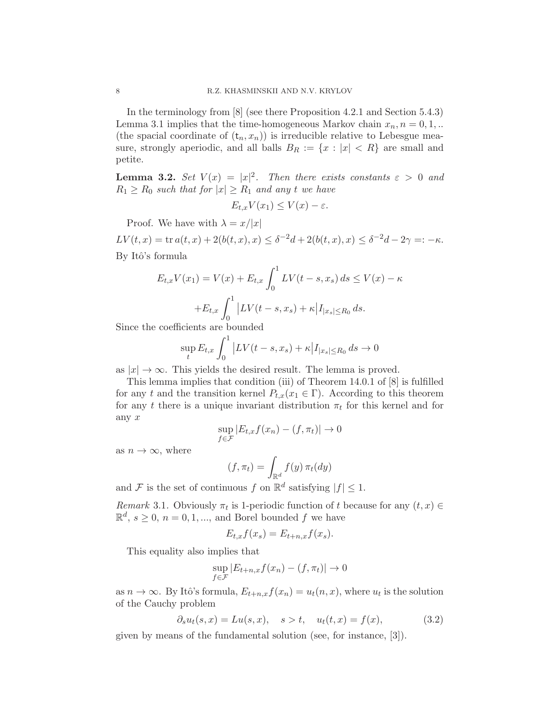In the terminology from [8] (see there Proposition 4.2.1 and Section 5.4.3) Lemma 3.1 implies that the time-homogeneous Markov chain  $x_n, n = 0, 1, ...$ (the spacial coordinate of  $(t_n, x_n)$ ) is irreducible relative to Lebesgue measure, strongly aperiodic, and all balls  $B_R := \{x : |x| < R\}$  are small and petite.

**Lemma 3.2.** Set  $V(x) = |x|^2$ . Then there exists constants  $\varepsilon > 0$  and  $R_1 \ge R_0$  such that for  $|x| \ge R_1$  and any t we have

$$
E_{t,x}V(x_1) \le V(x) - \varepsilon.
$$

Proof. We have with  $\lambda = x/|x|$ 

 $LV(t, x) = \text{tr } a(t, x) + 2(b(t, x), x) \le \delta^{-2}d + 2(b(t, x), x) \le \delta^{-2}d - 2\gamma =: -\kappa.$ By Itô's formula

$$
E_{t,x}V(x_1) = V(x) + E_{t,x} \int_0^1 LV(t - s, x_s) ds \le V(x) - \kappa
$$

$$
+ E_{t,x} \int_0^1 |LV(t - s, x_s) + \kappa |I_{|x_s| \le R_0} ds.
$$

Since the coefficients are bounded

$$
\sup_{t} E_{t,x} \int_{0}^{1} \left| LV(t-s, x_s) + \kappa \right| I_{|x_s| \le R_0} ds \to 0
$$

as  $|x| \to \infty$ . This yields the desired result. The lemma is proved.

This lemma implies that condition (iii) of Theorem 14.0.1 of [8] is fulfilled for any t and the transition kernel  $P_{t,x}(x_1 \in \Gamma)$ . According to this theorem for any t there is a unique invariant distribution  $\pi_t$  for this kernel and for any x

$$
\sup_{f \in \mathcal{F}} |E_{t,x} f(x_n) - (f, \pi_t)| \to 0
$$

as  $n \to \infty$ , where

$$
(f, \pi_t) = \int_{\mathbb{R}^d} f(y) \, \pi_t(dy)
$$

and F is the set of continuous f on  $\mathbb{R}^d$  satisfying  $|f| \leq 1$ .

Remark 3.1. Obviously  $\pi_t$  is 1-periodic function of t because for any  $(t, x) \in$  $\mathbb{R}^d$ ,  $s \geq 0$ ,  $n = 0, 1, \dots$ , and Borel bounded f we have

$$
E_{t,x}f(x_s) = E_{t+n,x}f(x_s).
$$

This equality also implies that

$$
\sup_{f \in \mathcal{F}} |E_{t+n,x} f(x_n) - (f, \pi_t)| \to 0
$$

as  $n \to \infty$ . By Itô's formula,  $E_{t+n,x} f(x_n) = u_t(n,x)$ , where  $u_t$  is the solution of the Cauchy problem

$$
\partial_s u_t(s, x) = Lu(s, x), \quad s > t, \quad u_t(t, x) = f(x),
$$
\n(3.2)

given by means of the fundamental solution (see, for instance, [3]).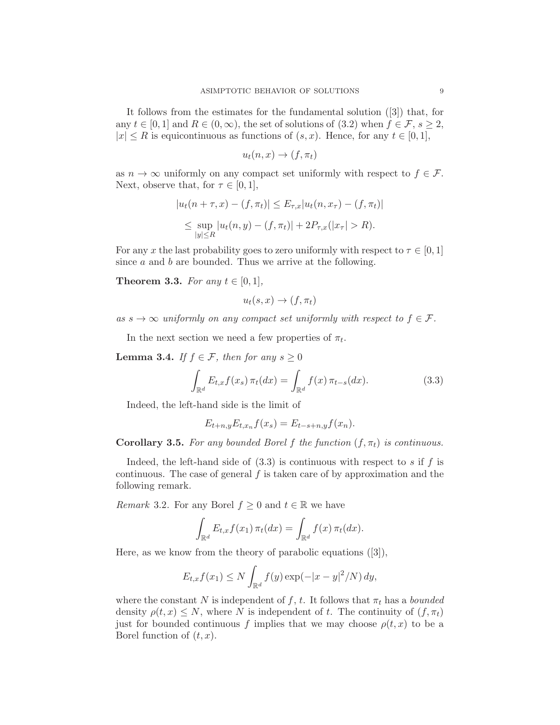It follows from the estimates for the fundamental solution ([3]) that, for any  $t \in [0,1]$  and  $R \in (0,\infty)$ , the set of solutions of  $(3.2)$  when  $f \in \mathcal{F}, s \geq 2$ ,  $|x| \leq R$  is equicontinuous as functions of  $(s, x)$ . Hence, for any  $t \in [0, 1]$ ,

$$
u_t(n,x) \to (f,\pi_t)
$$

as  $n \to \infty$  uniformly on any compact set uniformly with respect to  $f \in \mathcal{F}$ . Next, observe that, for  $\tau \in [0,1]$ ,

$$
|u_t(n + \tau, x) - (f, \pi_t)| \le E_{\tau, x} |u_t(n, x_\tau) - (f, \pi_t)|
$$
  
\$\leq\$ sup<sub>1</sub> $|u_t(n, y) - (f, \pi_t)| + 2P_{\tau, x}(|x_\tau| > R).$   
\$|y| \leq R\$

For any x the last probability goes to zero uniformly with respect to  $\tau \in [0,1]$ since  $a$  and  $b$  are bounded. Thus we arrive at the following.

**Theorem 3.3.** For any  $t \in [0,1]$ ,

$$
u_t(s,x) \to (f,\pi_t)
$$

as  $s \to \infty$  uniformly on any compact set uniformly with respect to  $f \in \mathcal{F}$ .

In the next section we need a few properties of  $\pi_t$ .

**Lemma 3.4.** If  $f \in \mathcal{F}$ , then for any  $s \geq 0$ 

$$
\int_{\mathbb{R}^d} E_{t,x} f(x_s) \, \pi_t(dx) = \int_{\mathbb{R}^d} f(x) \, \pi_{t-s}(dx). \tag{3.3}
$$

Indeed, the left-hand side is the limit of

$$
E_{t+n,y}E_{t,x_n}f(x_s) = E_{t-s+n,y}f(x_n).
$$

Corollary 3.5. For any bounded Borel f the function  $(f, \pi_t)$  is continuous.

Indeed, the left-hand side of  $(3.3)$  is continuous with respect to s if f is continuous. The case of general  $f$  is taken care of by approximation and the following remark.

*Remark* 3.2. For any Borel  $f \geq 0$  and  $t \in \mathbb{R}$  we have

$$
\int_{\mathbb{R}^d} E_{t,x} f(x_1) \, \pi_t(dx) = \int_{\mathbb{R}^d} f(x) \, \pi_t(dx).
$$

Here, as we know from the theory of parabolic equations ([3]),

$$
E_{t,x}f(x_1) \le N \int_{\mathbb{R}^d} f(y) \exp(-|x-y|^2/N) dy,
$$

where the constant N is independent of f, t. It follows that  $\pi_t$  has a bounded density  $\rho(t, x) \leq N$ , where N is independent of t. The continuity of  $(f, \pi_t)$ just for bounded continuous f implies that we may choose  $\rho(t, x)$  to be a Borel function of  $(t, x)$ .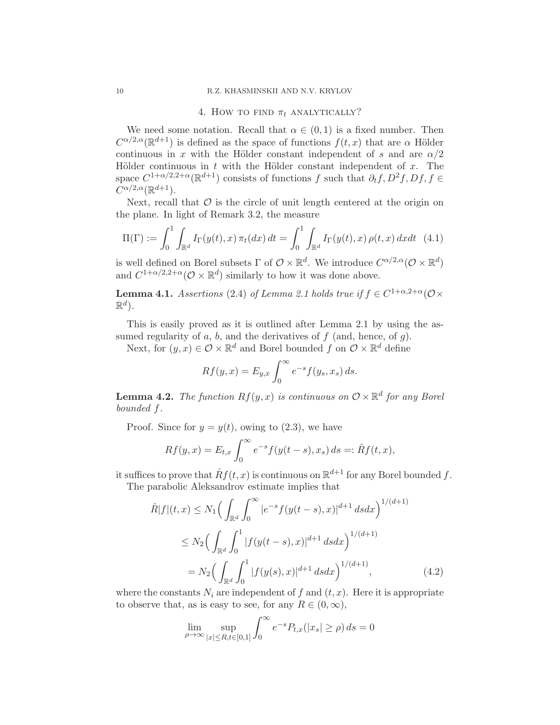### 4. How to find  $\pi_t$  analytically?

We need some notation. Recall that  $\alpha \in (0,1)$  is a fixed number. Then  $C^{\alpha/2,\alpha}(\mathbb{R}^{d+1})$  is defined as the space of functions  $f(t,x)$  that are  $\alpha$  Hölder continuous in x with the Hölder constant independent of s and are  $\alpha/2$ Hölder continuous in  $t$  with the Hölder constant independent of  $x$ . The space  $C^{1+\alpha/2,2+\alpha}(\mathbb{R}^{d+1})$  consists of functions f such that  $\partial_t f, D^2 f, Df, f \in$  $C^{\alpha/2,\alpha}(\mathbb{R}^{d+1}).$ 

Next, recall that  $\mathcal O$  is the circle of unit length centered at the origin on the plane. In light of Remark 3.2, the measure

$$
\Pi(\Gamma) := \int_0^1 \int_{\mathbb{R}^d} I_{\Gamma}(y(t), x) \, \pi_t(dx) \, dt = \int_0^1 \int_{\mathbb{R}^d} I_{\Gamma}(y(t), x) \, \rho(t, x) \, dx dt \tag{4.1}
$$

is well defined on Borel subsets  $\Gamma$  of  $\mathcal{O} \times \mathbb{R}^d$ . We introduce  $C^{\alpha/2,\alpha}(\mathcal{O} \times \mathbb{R}^d)$ and  $C^{1+\alpha/2,2+\alpha}(\mathcal{O}\times\mathbb{R}^d)$  similarly to how it was done above.

**Lemma 4.1.** Assertions (2.4) of Lemma 2.1 holds true if  $f \in C^{1+\alpha,2+\alpha}(\mathcal{O}\times\mathbb{R})$  $\mathbb{R}^d$ ).

This is easily proved as it is outlined after Lemma 2.1 by using the assumed regularity of  $a, b$ , and the derivatives of  $f$  (and, hence, of  $g$ ).

Next, for  $(y, x) \in \mathcal{O} \times \mathbb{R}^d$  and Borel bounded f on  $\mathcal{O} \times \mathbb{R}^d$  define

$$
Rf(y,x) = E_{y,x} \int_0^\infty e^{-s} f(y_s, x_s) ds.
$$

**Lemma 4.2.** The function  $Rf(y, x)$  is continuous on  $\mathcal{O} \times \mathbb{R}^d$  for any Borel bounded f.

Proof. Since for  $y = y(t)$ , owing to (2.3), we have

$$
Rf(y,x) = E_{t,x} \int_0^{\infty} e^{-s} f(y(t-s), x_s) ds =: \hat{R}f(t,x),
$$

it suffices to prove that  $\hat{R}f(t, x)$  is continuous on  $\mathbb{R}^{d+1}$  for any Borel bounded f.

The parabolic Aleksandrov estimate implies that

$$
\hat{R}|f|(t,x) \le N_1 \Big( \int_{\mathbb{R}^d} \int_0^\infty |e^{-s} f(y(t-s), x)|^{d+1} ds dx \Big)^{1/(d+1)}
$$
\n
$$
\le N_2 \Big( \int_{\mathbb{R}^d} \int_0^1 |f(y(t-s), x)|^{d+1} ds dx \Big)^{1/(d+1)}
$$
\n
$$
= N_2 \Big( \int_{\mathbb{R}^d} \int_0^1 |f(y(s), x)|^{d+1} ds dx \Big)^{1/(d+1)}, \tag{4.2}
$$

where the constants  $N_i$  are independent of f and  $(t, x)$ . Here it is appropriate to observe that, as is easy to see, for any  $R \in (0,\infty)$ ,

$$
\lim_{\rho \to \infty} \sup_{|x| \le R, t \in [0,1]} \int_0^\infty e^{-s} P_{t,x}(|x_s| \ge \rho) ds = 0
$$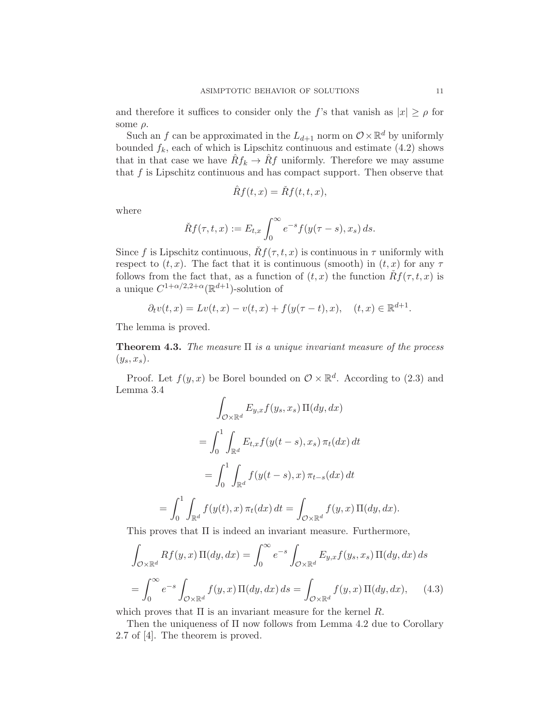and therefore it suffices to consider only the f's that vanish as  $|x| \ge \rho$  for some  $\rho$ .

Such an f can be approximated in the  $L_{d+1}$  norm on  $\mathcal{O}\times\mathbb{R}^d$  by uniformly bounded  $f_k$ , each of which is Lipschitz continuous and estimate (4.2) shows that in that case we have  $\hat{R}f_k \to \hat{R}f$  uniformly. Therefore we may assume that  $f$  is Lipschitz continuous and has compact support. Then observe that

$$
\hat{R}f(t,x) = \check{R}f(t,t,x),
$$

where

$$
\check{R}f(\tau,t,x) := E_{t,x} \int_0^\infty e^{-s} f(y(\tau-s),x_s) ds.
$$

Since f is Lipschitz continuous,  $\tilde{R}f(\tau, t, x)$  is continuous in  $\tau$  uniformly with respect to  $(t, x)$ . The fact that it is continuous (smooth) in  $(t, x)$  for any  $\tau$ follows from the fact that, as a function of  $(t, x)$  the function  $Rf(\tau, t, x)$  is a unique  $C^{1+\alpha/2,2+\alpha}(\mathbb{R}^{d+1})$ -solution of

$$
\partial_t v(t, x) = Lv(t, x) - v(t, x) + f(y(\tau - t), x), \quad (t, x) \in \mathbb{R}^{d+1}.
$$

The lemma is proved.

**Theorem 4.3.** The measure  $\Pi$  is a unique invariant measure of the process  $(y_s, x_s)$ .

Proof. Let  $f(y, x)$  be Borel bounded on  $\mathcal{O} \times \mathbb{R}^d$ . According to (2.3) and Lemma 3.4

$$
\int_{\mathcal{O}\times\mathbb{R}^d} E_{y,x} f(y_s, x_s) \Pi(dy, dx)
$$
\n
$$
= \int_0^1 \int_{\mathbb{R}^d} E_{t,x} f(y(t-s), x_s) \pi_t(dx) dt
$$
\n
$$
= \int_0^1 \int_{\mathbb{R}^d} f(y(t-s), x) \pi_{t-s}(dx) dt
$$
\n
$$
= \int_0^1 \int_{\mathbb{R}^d} f(y(t), x) \pi_t(dx) dt = \int_{\mathcal{O}\times\mathbb{R}^d} f(y, x) \Pi(dy, dx).
$$

This proves that Π is indeed an invariant measure. Furthermore,

$$
\int_{\mathcal{O}\times\mathbb{R}^d} Rf(y,x)\,\Pi(dy,dx) = \int_0^\infty e^{-s} \int_{\mathcal{O}\times\mathbb{R}^d} E_{y,x}f(y_s,x_s)\,\Pi(dy,dx)\,ds
$$
\n
$$
= \int_0^\infty e^{-s} \int_{\mathcal{O}\times\mathbb{R}^d} f(y,x)\,\Pi(dy,dx)\,ds = \int_{\mathcal{O}\times\mathbb{R}^d} f(y,x)\,\Pi(dy,dx),\tag{4.3}
$$

which proves that  $\Pi$  is an invariant measure for the kernel R.

Then the uniqueness of Π now follows from Lemma 4.2 due to Corollary 2.7 of [4]. The theorem is proved.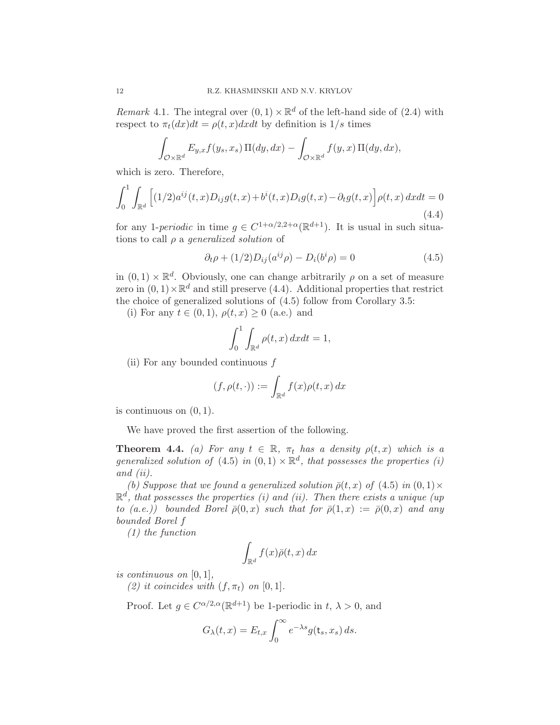Remark 4.1. The integral over  $(0,1) \times \mathbb{R}^d$  of the left-hand side of  $(2.4)$  with respect to  $\pi_t(dx)dt = \rho(t, x)dxdt$  by definition is  $1/s$  times

$$
\int_{\mathcal{O}\times\mathbb{R}^d} E_{y,x}f(y_s,x_s)\,\Pi(dy,dx) - \int_{\mathcal{O}\times\mathbb{R}^d} f(y,x)\,\Pi(dy,dx),
$$

which is zero. Therefore,

$$
\int_0^1 \int_{\mathbb{R}^d} \left[ (1/2) a^{ij}(t, x) D_{ij} g(t, x) + b^i(t, x) D_i g(t, x) - \partial_t g(t, x) \right] \rho(t, x) dx dt = 0
$$
\n(4.4)

for any 1-periodic in time  $g \in C^{1+\alpha/2,2+\alpha}(\mathbb{R}^{d+1})$ . It is usual in such situations to call  $\rho$  a *generalized solution* of

$$
\partial_t \rho + (1/2)D_{ij}(a^{ij}\rho) - D_i(b^i \rho) = 0 \tag{4.5}
$$

in  $(0,1) \times \mathbb{R}^d$ . Obviously, one can change arbitrarily  $\rho$  on a set of measure zero in  $(0,1) \times \mathbb{R}^d$  and still preserve  $(4.4)$ . Additional properties that restrict the choice of generalized solutions of (4.5) follow from Corollary 3.5:

(i) For any  $t \in (0,1)$ ,  $\rho(t,x) \geq 0$  (a.e.) and

$$
\int_0^1 \int_{\mathbb{R}^d} \rho(t, x) \, dx dt = 1,
$$

(ii) For any bounded continuous  $f$ 

$$
(f, \rho(t, \cdot)) := \int_{\mathbb{R}^d} f(x) \rho(t, x) \, dx
$$

is continuous on  $(0, 1)$ .

We have proved the first assertion of the following.

**Theorem 4.4.** (a) For any  $t \in \mathbb{R}$ ,  $\pi_t$  has a density  $\rho(t, x)$  which is a generalized solution of  $(4.5)$  in  $(0,1) \times \mathbb{R}^d$ , that possesses the properties (i) and (ii).

(b) Suppose that we found a generalized solution  $\bar{\rho}(t, x)$  of (4.5) in  $(0, 1) \times$  $\mathbb{R}^d$ , that possesses the properties (i) and (ii). Then there exists a unique (up to (a.e.)) bounded Borel  $\bar{\rho}(0, x)$  such that for  $\bar{\rho}(1, x) := \bar{\rho}(0, x)$  and any bounded Borel f

(1) the function

$$
\int_{\mathbb{R}^d} f(x)\bar{\rho}(t,x)\,dx
$$

is continuous on  $[0, 1]$ ,

(2) it coincides with  $(f, \pi_t)$  on  $[0, 1]$ .

Proof. Let  $g \in C^{\alpha/2, \alpha}(\mathbb{R}^{d+1})$  be 1-periodic in  $t, \lambda > 0$ , and

$$
G_{\lambda}(t,x) = E_{t,x} \int_0^{\infty} e^{-\lambda s} g(\mathbf{t}_s, x_s) ds.
$$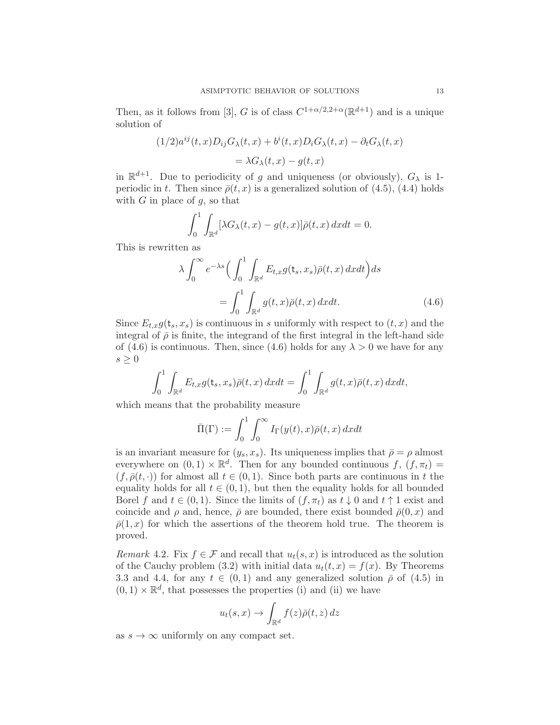Then, as it follows from [3], G is of class  $C^{1+\alpha/2,2+\alpha}(\mathbb{R}^{d+1})$  and is a unique solution of

$$
(1/2)a^{ij}(t,x)D_{ij}G_{\lambda}(t,x) + b^{i}(t,x)D_{i}G_{\lambda}(t,x) - \partial_{t}G_{\lambda}(t,x)
$$

$$
= \lambda G_{\lambda}(t,x) - g(t,x)
$$

in  $\mathbb{R}^{d+1}$ . Due to periodicity of g and uniqueness (or obviously),  $G_{\lambda}$  is 1periodic in t. Then since  $\bar{\rho}(t, x)$  is a generalized solution of (4.5), (4.4) holds with  $G$  in place of  $g$ , so that

$$
\int_0^1 \int_{\mathbb{R}^d} [\lambda G_\lambda(t, x) - g(t, x)] \bar{\rho}(t, x) dx dt = 0.
$$

This is rewritten as

$$
\lambda \int_0^\infty e^{-\lambda s} \Big( \int_0^1 \int_{\mathbb{R}^d} E_{t,x} g(\mathbf{t}_s, x_s) \bar{\rho}(t, x) dx dt \Big) ds
$$
  
= 
$$
\int_0^1 \int_{\mathbb{R}^d} g(t, x) \bar{\rho}(t, x) dx dt.
$$
 (4.6)

Since  $E_{t,x}g(t_s, x_s)$  is continuous in s uniformly with respect to  $(t, x)$  and the integral of  $\bar{\rho}$  is finite, the integrand of the first integral in the left-hand side of (4.6) is continuous. Then, since (4.6) holds for any  $\lambda > 0$  we have for any  $s \geq 0$ 

$$
\int_0^1 \int_{\mathbb{R}^d} E_{t,x} g(\mathsf{t}_s, x_s) \bar{\rho}(t,x) \, dx dt = \int_0^1 \int_{\mathbb{R}^d} g(t,x) \bar{\rho}(t,x) \, dx dt,
$$

which means that the probability measure

$$
\bar{\Pi}(\Gamma) := \int_0^1 \int_0^\infty I_\Gamma(y(t), x) \bar{\rho}(t, x) \, dx dt
$$

is an invariant measure for  $(y_s, x_s)$ . Its uniqueness implies that  $\bar{\rho} = \rho$  almost everywhere on  $(0, 1) \times \mathbb{R}^d$ . Then for any bounded continuous  $f, (f, \pi_t) =$  $(f, \bar{\rho}(t, \cdot))$  for almost all  $t \in (0, 1)$ . Since both parts are continuous in t the equality holds for all  $t \in (0, 1)$ , but then the equality holds for all bounded Borel f and  $t \in (0,1)$ . Since the limits of  $(f, \pi_t)$  as  $t \downarrow 0$  and  $t \uparrow 1$  exist and coincide and  $\rho$  and, hence,  $\bar{\rho}$  are bounded, there exist bounded  $\bar{\rho}(0, x)$  and  $\bar{\rho}(1,x)$  for which the assertions of the theorem hold true. The theorem is proved.

Remark 4.2. Fix  $f \in \mathcal{F}$  and recall that  $u_t(s, x)$  is introduced as the solution of the Cauchy problem (3.2) with initial data  $u_t(t, x) = f(x)$ . By Theorems 3.3 and 4.4, for any  $t \in (0,1)$  and any generalized solution  $\bar{\rho}$  of (4.5) in  $(0,1)\times\mathbb{R}^d,$  that possesses the properties (i) and (ii) we have

$$
u_t(s,x) \to \int_{\mathbb{R}^d} f(z)\bar{\rho}(t,z) \, dz
$$

as  $s \to \infty$  uniformly on any compact set.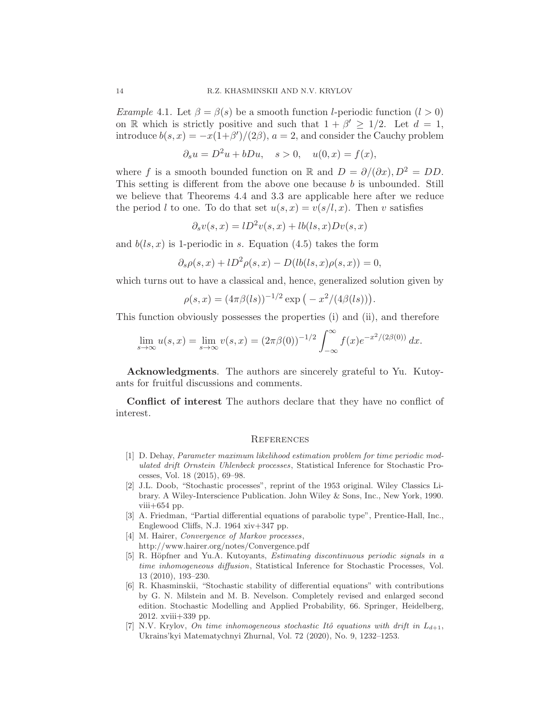Example 4.1. Let  $\beta = \beta(s)$  be a smooth function *l*-periodic function  $(l > 0)$ on R which is strictly positive and such that  $1 + \beta' \geq 1/2$ . Let  $d = 1$ , introduce  $b(s, x) = -x(1+\beta')/(2\beta)$ ,  $a = 2$ , and consider the Cauchy problem

 $\partial_s u = D^2 u + bDu, \quad s > 0, \quad u(0, x) = f(x),$ 

where f is a smooth bounded function on R and  $D = \partial/(\partial x)$ ,  $D^2 = DD$ . This setting is different from the above one because  $b$  is unbounded. Still we believe that Theorems 4.4 and 3.3 are applicable here after we reduce the period l to one. To do that set  $u(s, x) = v(s/l, x)$ . Then v satisfies

$$
\partial_s v(s, x) = lD^2 v(s, x) + l b(ls, x) Dv(s, x)
$$

and  $b(1s, x)$  is 1-periodic in s. Equation (4.5) takes the form

$$
\partial_s \rho(s, x) + lD^2 \rho(s, x) - D(lb(ls, x)\rho(s, x)) = 0,
$$

which turns out to have a classical and, hence, generalized solution given by

$$
\rho(s,x) = (4\pi\beta(ls))^{-1/2} \exp(-x^2/(4\beta(ls))).
$$

This function obviously possesses the properties (i) and (ii), and therefore

$$
\lim_{s \to \infty} u(s, x) = \lim_{s \to \infty} v(s, x) = (2\pi \beta(0))^{-1/2} \int_{-\infty}^{\infty} f(x) e^{-x^2/(2\beta(0))} dx.
$$

Acknowledgments. The authors are sincerely grateful to Yu. Kutoyants for fruitful discussions and comments.

Conflict of interest The authors declare that they have no conflict of interest.

### **REFERENCES**

- [1] D. Dehay, Parameter maximum likelihood estimation problem for time periodic modulated drift Ornstein Uhlenbeck processes, Statistical Inference for Stochastic Processes, Vol. 18 (2015), 69–98.
- [2] J.L. Doob, "Stochastic processes", reprint of the 1953 original. Wiley Classics Library. A Wiley-Interscience Publication. John Wiley & Sons, Inc., New York, 1990.  $viii+654$  pp.
- [3] A. Friedman, "Partial differential equations of parabolic type", Prentice-Hall, Inc., Englewood Cliffs, N.J. 1964 xiv+347 pp.
- [4] M. Hairer, *Convergence of Markov processes*, http://www.hairer.org/notes/Convergence.pdf
- [5] R. Höpfner and Yu.A. Kutoyants, *Estimating discontinuous periodic signals in a* time inhomogeneous diffusion, Statistical Inference for Stochastic Processes, Vol. 13 (2010), 193–230.
- [6] R. Khasminskii, "Stochastic stability of differential equations" with contributions by G. N. Milstein and M. B. Nevelson. Completely revised and enlarged second edition. Stochastic Modelling and Applied Probability, 66. Springer, Heidelberg, 2012. xviii+339 pp.
- [7] N.V. Krylov, On time inhomogeneous stochastic Itô equations with drift in  $L_{d+1}$ , Ukrains'kyi Matematychnyi Zhurnal, Vol. 72 (2020), No. 9, 1232–1253.